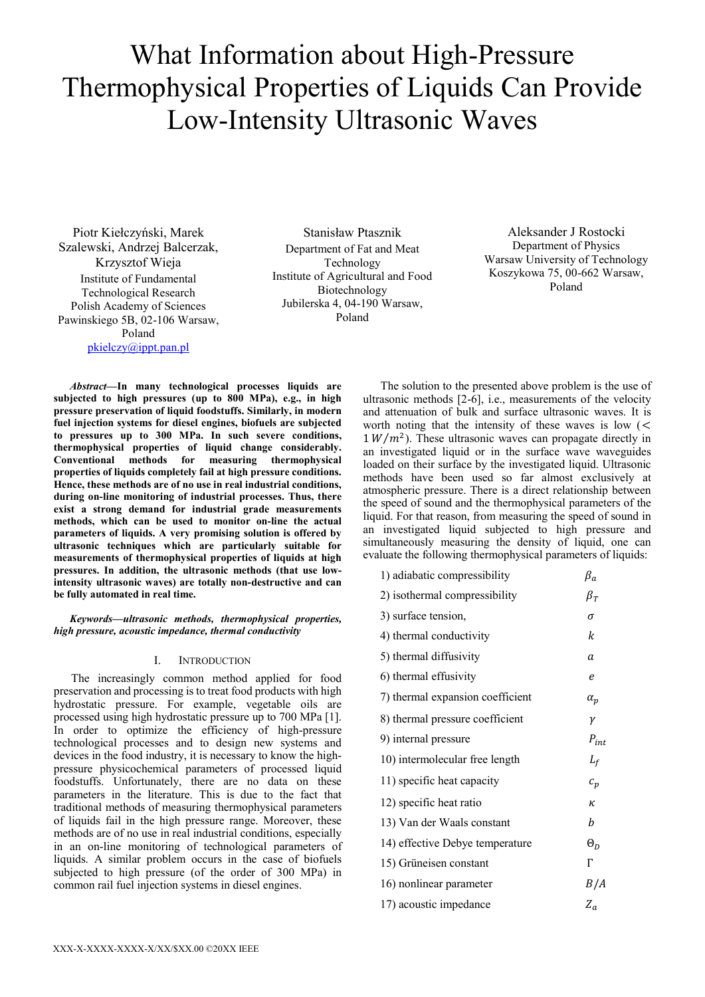# What Information about High-Pressure Thermophysical Properties of Liquids Can Provide Low-Intensity Ultrasonic Waves

Piotr Kiełczyński, Marek Szalewski, Andrzej Balcerzak, Krzysztof Wieja Institute of Fundamental Technological Research Polish Academy of Sciences Pawinskiego 5B, 02-106 Warsaw, Poland [pkielczy@ippt.pan.pl](mailto:pkielczy@ippt.pan.pl)

Stanisław Ptasznik Department of Fat and Meat Technology Institute of Agricultural and Food Biotechnology Jubilerska 4, 04-190 Warsaw, Poland

Aleksander J Rostocki Department of Physics Warsaw University of Technology Koszykowa 75, 00-662 Warsaw, Poland

*Abstract***—In many technological processes liquids are subjected to high pressures (up to 800 MPa), e.g., in high pressure preservation of liquid foodstuffs. Similarly, in modern fuel injection systems for diesel engines, biofuels are subjected to pressures up to 300 MPa. In such severe conditions, thermophysical properties of liquid change considerably. Conventional methods for measuring thermophysical properties of liquids completely fail at high pressure conditions. Hence, these methods are of no use in real industrial conditions, during on-line monitoring of industrial processes. Thus, there exist a strong demand for industrial grade measurements methods, which can be used to monitor on-line the actual parameters of liquids. A very promising solution is offered by ultrasonic techniques which are particularly suitable for measurements of thermophysical properties of liquids at high pressures. In addition, the ultrasonic methods (that use lowintensity ultrasonic waves) are totally non-destructive and can be fully automated in real time.** 

*Keywords—ultrasonic methods, thermophysical properties, high pressure, acoustic impedance, thermal conductivity*

## I. INTRODUCTION

 The increasingly common method applied for food preservation and processing is to treat food products with high hydrostatic pressure. For example, vegetable oils are processed using high hydrostatic pressure up to 700 MPa [1]. In order to optimize the efficiency of high-pressure technological processes and to design new systems and devices in the food industry, it is necessary to know the highpressure physicochemical parameters of processed liquid foodstuffs. Unfortunately, there are no data on these parameters in the literature. This is due to the fact that traditional methods of measuring thermophysical parameters of liquids fail in the high pressure range. Moreover, these methods are of no use in real industrial conditions, especially in an on-line monitoring of technological parameters of liquids. A similar problem occurs in the case of biofuels subjected to high pressure (of the order of 300 MPa) in common rail fuel injection systems in diesel engines.

 The solution to the presented above problem is the use of ultrasonic methods [2-6], i.e., measurements of the velocity and attenuation of bulk and surface ultrasonic waves. It is worth noting that the intensity of these waves is low  $\zeta$  $1 W/m<sup>2</sup>$ ). These ultrasonic waves can propagate directly in an investigated liquid or in the surface wave waveguides loaded on their surface by the investigated liquid. Ultrasonic methods have been used so far almost exclusively at atmospheric pressure. There is a direct relationship between the speed of sound and the thermophysical parameters of the liquid. For that reason, from measuring the speed of sound in an investigated liquid subjected to high pressure and simultaneously measuring the density of liquid, one can evaluate the following thermophysical parameters of liquids:

| 1) adiabatic compressibility     | $\beta_a$  |
|----------------------------------|------------|
| 2) isothermal compressibility    | $\beta_T$  |
| 3) surface tension,              | σ          |
| 4) thermal conductivity          | k          |
| 5) thermal diffusivity           | a          |
| 6) thermal effusivity            | e          |
| 7) thermal expansion coefficient | $\alpha_p$ |
| 8) thermal pressure coefficient  | γ          |
| 9) internal pressure             | $P_{int}$  |
| 10) intermolecular free length   | $L_f$      |
| 11) specific heat capacity       | $c_p$      |
| 12) specific heat ratio          | ĸ          |
| 13) Van der Waals constant       | h          |
| 14) effective Debye temperature  | $\Theta_D$ |
| 15) Grüneisen constant           | Г          |
| 16) nonlinear parameter          | B   A      |
| 17) acoustic impedance           | $Z_a$      |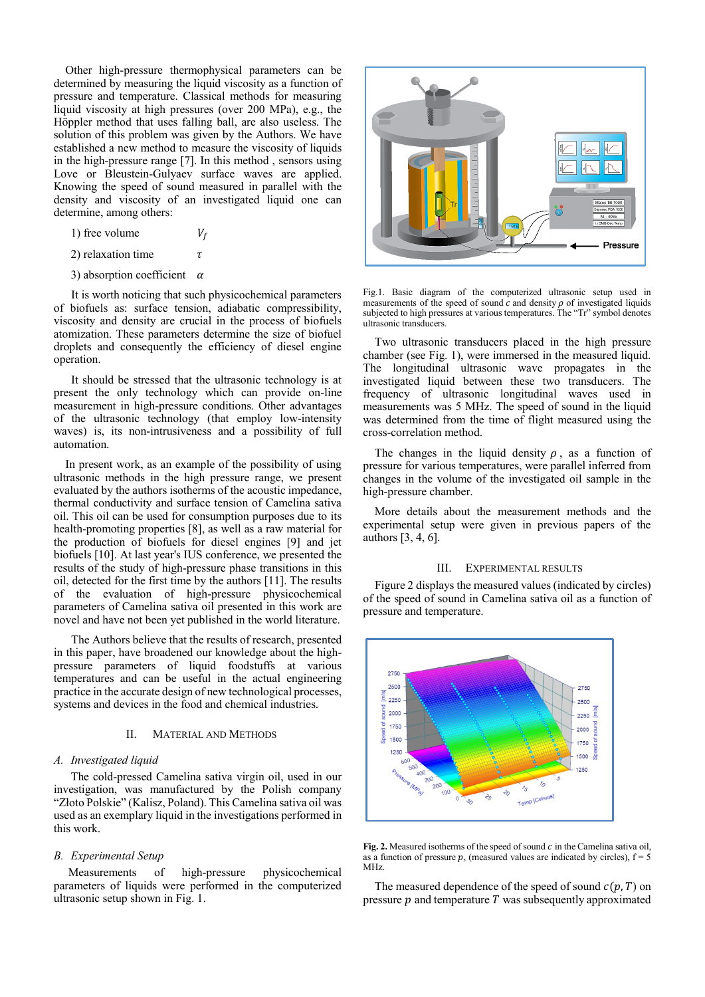Other high-pressure thermophysical parameters can be determined by measuring the liquid viscosity as a function of pressure and temperature. Classical methods for measuring liquid viscosity at high pressures (over 200 MPa), e.g., the Höppler method that uses falling ball, are also useless. The solution of this problem was given by the Authors. We have established a new method to measure the viscosity of liquids in the high-pressure range [7]. In this method , sensors using Love or Bleustein-Gulyaev surface waves are applied. Knowing the speed of sound measured in parallel with the density and viscosity of an investigated liquid one can determine, among others:

- 1) free volume  $V_f$
- 2) relaxation time  $\tau$
- 3) absorption coefficient  $\alpha$

 It is worth noticing that such physicochemical parameters of biofuels as: surface tension, adiabatic compressibility, viscosity and density are crucial in the process of biofuels atomization. These parameters determine the size of biofuel droplets and consequently the efficiency of diesel engine operation.

 It should be stressed that the ultrasonic technology is at present the only technology which can provide on-line measurement in high-pressure conditions. Other advantages of the ultrasonic technology (that employ low-intensity waves) is, its non-intrusiveness and a possibility of full automation.

 In present work, as an example of the possibility of using ultrasonic methods in the high pressure range, we present evaluated by the authors isotherms of the acoustic impedance, thermal conductivity and surface tension of Camelina sativa oil. This oil can be used for consumption purposes due to its health-promoting properties [8], as well as a raw material for the production of biofuels for diesel engines [9] and jet biofuels [10]. At last year's IUS conference, we presented the results of the study of high-pressure phase transitions in this oil, detected for the first time by the authors [11]. The results of the evaluation of high-pressure physicochemical parameters of Camelina sativa oil presented in this work are novel and have not been yet published in the world literature.

 The Authors believe that the results of research, presented in this paper, have broadened our knowledge about the highpressure parameters of liquid foodstuffs at various temperatures and can be useful in the actual engineering practice in the accurate design of new technological processes, systems and devices in the food and chemical industries.

## II. MATERIAL AND METHODS

#### *A. Investigated liquid*

The cold-pressed Camelina sativa virgin oil, used in our investigation, was manufactured by the Polish company "Złoto Polskie" (Kalisz, Poland). This Camelina sativa oil was used as an exemplary liquid in the investigations performed in this work.

#### *B. Experimental Setup*

 Measurements of high-pressure physicochemical parameters of liquids were performed in the computerized ultrasonic setup shown in Fig. 1.



Fig.1. Basic diagram of the computerized ultrasonic setup used in measurements of the speed of sound  $\tilde{c}$  and density  $\rho$  of investigated liquids subjected to high pressures at various temperatures. The "Tr" symbol denotes ultrasonic transducers.

 Two ultrasonic transducers placed in the high pressure chamber (see Fig. 1), were immersed in the measured liquid. The longitudinal ultrasonic wave propagates in the investigated liquid between these two transducers. The frequency of ultrasonic longitudinal waves used in measurements was 5 MHz. The speed of sound in the liquid was determined from the time of flight measured using the cross-correlation method.

The changes in the liquid density  $\rho$ , as a function of pressure for various temperatures, were parallel inferred from changes in the volume of the investigated oil sample in the high-pressure chamber.

 More details about the measurement methods and the experimental setup were given in previous papers of the authors [3, 4, 6].

#### III. EXPERIMENTAL RESULTS

 Figure 2 displays the measured values (indicated by circles) of the speed of sound in Camelina sativa oil as a function of pressure and temperature.



**Fig. 2.** Measured isotherms of the speed of sound  $c$  in the Camelina sativa oil, as a function of pressure  $p$ , (measured values are indicated by circles),  $f = 5$ MHz.

The measured dependence of the speed of sound  $c(p, T)$  on pressure  $p$  and temperature  $T$  was subsequently approximated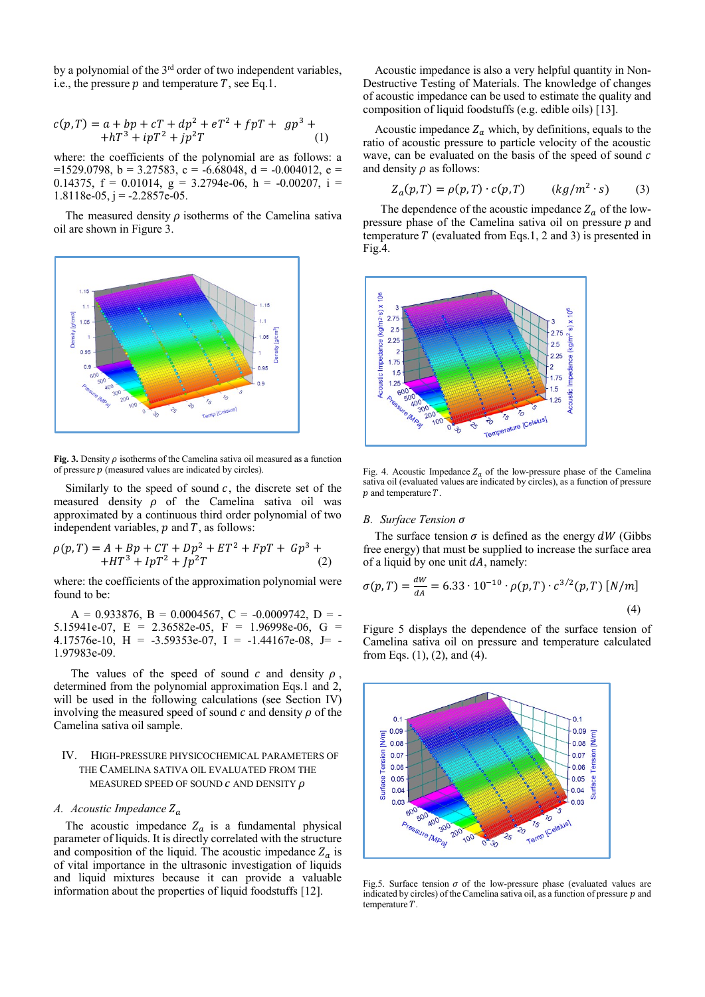by a polynomial of the 3<sup>rd</sup> order of two independent variables, i.e., the pressure  $p$  and temperature  $T$ , see Eq.1.

$$
c(p,T) = a + bp + cT + dp2 + eT2 + fpT + gp3 ++ hT3 + ipT2 + jp2T
$$
 (1)

where: the coefficients of the polynomial are as follows: a  $=1529.0798$ ,  $b = 3.27583$ ,  $c = -6.68048$ ,  $d = -0.004012$ ,  $e =$ 0.14375,  $f = 0.01014$ ,  $g = 3.2794e-06$ ,  $h = -0.00207$ ,  $i =$  $1.8118e-05$ , j =  $-2.2857e-05$ .

The measured density  $\rho$  isotherms of the Camelina sativa oil are shown in Figure 3.



**Fig. 3.** Density  $\rho$  isotherms of the Camelina sativa oil measured as a function of pressure  $p$  (measured values are indicated by circles).

Similarly to the speed of sound  $c$ , the discrete set of the measured density  $\rho$  of the Camelina sativa oil was approximated by a continuous third order polynomial of two independent variables,  $p$  and  $T$ , as follows:

$$
\rho(p,T) = A + Bp + CT + Dp^{2} + ET^{2} + FpT + Gp^{3} ++ HT^{3} + IpT^{2} + Jp^{2}T
$$
 (2)

where: the coefficients of the approximation polynomial were found to be:

 $A = 0.933876, B = 0.0004567, C = -0.0009742, D = -0.0009742$ 5.15941e-07, E = 2.36582e-05, F = 1.96998e-06, G = 4.17576e-10, H = -3.59353e-07, I = -1.44167e-08, J= -1.97983e-09.

The values of the speed of sound  $c$  and density  $\rho$ , determined from the polynomial approximation Eqs.1 and 2, will be used in the following calculations (see Section IV) involving the measured speed of sound  $c$  and density  $\rho$  of the Camelina sativa oil sample.

## IV. HIGH-PRESSURE PHYSICOCHEMICAL PARAMETERS OF THE CAMELINA SATIVA OIL EVALUATED FROM THE MEASURED SPEED OF SOUND  $c$  and density  $\rho$

#### *A. Acoustic Impedance*

The acoustic impedance  $Z_a$  is a fundamental physical parameter of liquids. It is directly correlated with the structure and composition of the liquid. The acoustic impedance  $Z_a$  is of vital importance in the ultrasonic investigation of liquids and liquid mixtures because it can provide a valuable information about the properties of liquid foodstuffs [12].

 Acoustic impedance is also a very helpful quantity in Non-Destructive Testing of Materials. The knowledge of changes of acoustic impedance can be used to estimate the quality and composition of liquid foodstuffs (e.g. edible oils) [13].

Acoustic impedance  $Z_a$  which, by definitions, equals to the ratio of acoustic pressure to particle velocity of the acoustic wave, can be evaluated on the basis of the speed of sound c and density  $\rho$  as follows:

$$
Z_a(p,T) = \rho(p,T) \cdot c(p,T) \qquad (kg/m^2 \cdot s) \tag{3}
$$

The dependence of the acoustic impedance  $Z_a$  of the lowpressure phase of the Camelina sativa oil on pressure  $p$  and temperature  $T$  (evaluated from Eqs.1, 2 and 3) is presented in Fig.4.



Fig. 4. Acoustic Impedance  $Z_a$  of the low-pressure phase of the Camelina sativa oil (evaluated values are indicated by circles), as a function of pressure  $p$  and temperature  $T$ .

#### *B. Surface Tension*

The surface tension  $\sigma$  is defined as the energy dW (Gibbs free energy) that must be supplied to increase the surface area of a liquid by one unit  $dA$ , namely:

$$
\sigma(p,T) = \frac{dW}{dA} = 6.33 \cdot 10^{-10} \cdot \rho(p,T) \cdot c^{3/2}(p,T) \, [N/m]
$$
\n(4)

Figure 5 displays the dependence of the surface tension of Camelina sativa oil on pressure and temperature calculated from Eqs. (1), (2), and (4).



Fig.5. Surface tension  $\sigma$  of the low-pressure phase (evaluated values are indicated by circles) of the Camelina sativa oil, as a function of pressure  $p$  and temperature  $T$ .